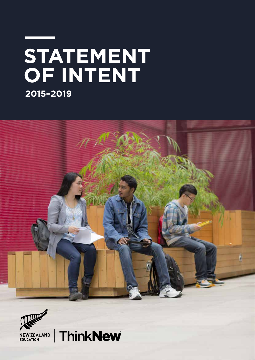# **STATEMENT OF INTENT 2015–2019**





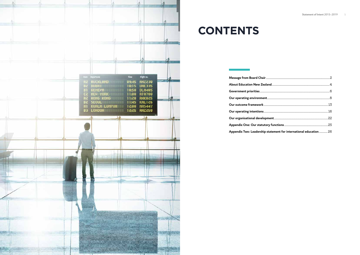

# **CONTENTS**

Message from Board Chair ............ **About Education New Zealand..** Government priorities.... Our operating environment......... Our outcome framework.. Our operating intentions.... Our organisational development **Appendix One: Our statutory fu** Appendix Two: Leadership state

| e <mark>ment for international education</mark> 26 |  |
|----------------------------------------------------|--|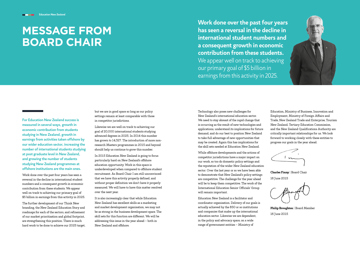

Technology also poses new challenges for New Zealand's international education sector. We need to stay abreast of the rapid change that is occurring as the result of new technologies and applications, understand its implications for future demand, and do our best to position New Zealand to take full advantage of new opportunities that may be created. Again this has implications for the skill sets needed at Education New Zealand.

While offshore developments and the actions of competitor jurisdictions have a major impact on our work, so too do domestic policy settings and the reputation of the wider New Zealand education sector. Over the last year or so we have been able to demonstrate that New Zealand's policy settings are competitive. The challenge for the year ahead will be to keep them competitive. The work of the International Education Senior Officials' Group will remain important.

Education New Zealand is a facilitator and coordinator organisation. Delivery of our goals is actually achieved by the 850 or so institutions and companies that make up the international education sector. Likewise we are dependent, in the policy and advocacy space, on a wide range of government entities – Ministry of

Education, Ministry of Business, Innovation and Employment, Ministry of Foreign Affairs and Trade, New Zealand Trade and Enterprise, Tourism New Zealand, Tertiary Education Commission, and the New Zealand Qualifications Authority are critically important relationships for us. We look forward to working closely with these entities to progress our goals in the year ahead.



**Charles Finny** | Board Chair 16 June 2015

**Philip Broughton** | Board Member 16 June 2015

**For Education New Zealand success is measured in several ways, growth in economic contribution from students studying in New Zealand, growth in earnings from activities taken offshore by our wider education sector, increasing the number of international students studying at post graduate level in New Zealand, and growing the number of students studying New Zealand programmes at offshore institutions are the main ones.**

Work done over the past four years has seen a reversal in the decline in international student numbers and a consequent growth in economic contribution from these students. We appear well on track to achieving our primary goal of \$5 billion in earnings from this activity in 2025.

The further development of our Think New branding, the New Zealand Education Story and roadmaps for each of the sectors, and refinement of our market prioritisation and global footprint, are strengthening this position. There is much hard work to be done to achieve our 2025 target, but we are in good space so long as our policy settings remain at least comparable with those in competitor jurisdictions.

Likewise we are well on track to achieving our goal of 20,000 international students studying advanced degrees in 2025. In 2014 this number has grown to 14,327. The introduction of more nonresearch Masters programmes in 2015 and beyond should help us continue to grow this number.

In 2015 Education New Zealand is going to focus particularly hard on New Zealand's offshore education opportunity. Work in this space is underdeveloped when compared to offshore student recruitment. As Board Chair I am still unconvinced that we have this activity properly defined, and without proper definition we don't have it properly measured. We will have to have this matter resolved over the next year.

It is also increasingly clear that while Education New Zealand has excellent skills as a marketing and market development organisation, we may not be as strong in the business development space. The skill sets for this function are different. We will be addressing this issue in the year ahead – both in New Zealand and offshore.

# **MESSAGE FROM BOARD CHAIR**

**Work done over the past four years has seen a reversal in the decline in international student numbers and a consequent growth in economic contribution from these students.**  We appear well on track to achieving our primary goal of \$5 billion in earnings from this activity in 2025.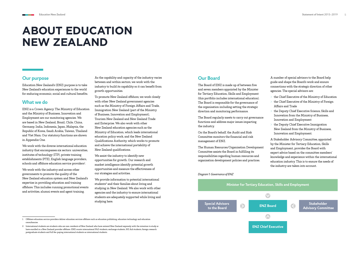### **Our purpose**

Education New Zealand's (ENZ) purpose is to take New Zealand's education experiences to the world for enduring economic, social and cultural benefits.

### **What we do**

ENZ is a Crown Agency. The Ministry of Education and the Ministry of Business, Innovation and Employment are our monitoring agencies. We are based in New Zealand, Brazil, Chile, China, Germany, India, Indonesia, Japan, Malaysia, the Republic of Korea, Saudi Arabia, Taiwan, Thailand and Viet Nam. Our statutory functions are shown in Appendix One.

We work with the diverse international education industry that encompasses six sectors: universities, institutes of technology (ITP), private training establishments (PTE), English language providers, schools and offshore education service providers<sup>1</sup>. .

We work with the industry and across other governments to promote the quality of the New Zealand education system and New Zealand's expertise in providing education and training offshore. This includes running promotional events and activities, alumni events and agent training.

As the capability and capacity of the industry varies between and within sectors, we work with the industry to build its capability so it can benefit from growth opportunities.

To promote New Zealand offshore, we work closely with other New Zealand government agencies such as the Ministry of Foreign Affairs and Trade, Immigration New Zealand (part of the Ministry of Business, Innovation and Employment), Tourism New Zealand and New Zealand Trade and Enterprise. We also work with other New Zealand education agencies such as the Ministry of Education, which leads international education policy work, and the New Zealand Qualifications Authority, which works to promote and achieve the international portability of New Zealand qualifications.

We assist the industry to identify new opportunities for growth. Our research and market intelligence identify potential growth opportunities and measure the effectiveness of our strategies and activities.

We provide information to potential international students<sup>2</sup> and their families about living and studying in New Zealand. We also work with other agencies and the industry to ensure international students are adequately supported while living and studying here.

# **ABOUT EDUCATION NEW ZEALAND**

### **Our Board**

The Board of ENZ is made up of between five and seven members appointed by the Minister for Tertiary Education, Skills and Employment (this portfolio includes international education). The Board is responsible for the governance of the organisation including setting the strategic direction and monitoring performance.

The Board regularly meets to carry out governance functions and address major issues impacting the industry.

On the Board's behalf, the Audit and Risk Committee monitors the financial and risk management of ENZ.

The Human Resources/Organisation Development Committee assists the Board in fulfilling its responsibilities regarding human resources and organisation development policies and practices.

A number of special advisors to the Board help guide and shape the Board's work and ensure connections with the strategic direction of other agencies. The special advisors are:

- > the Chief Executive of the Ministry of Education > the Chief Executive of the Ministry of Foreign
- Affairs and Trade
- > the Deputy Chief Executive Science, Skills and
- Innovation from the Ministry of Business,
- Innovation and Employment
- the Deputy Chief Executive Immigration
- New Zealand from the Ministry of Business, Innovation and Employment.

A Stakeholder Advisory Committee, appointed by the Minister for Tertiary Education, Skills and Employment, provides the Board with expert advice based on the committee members' knowledge and experience within the international education industry. This is to ensure the needs of the industry are taken into account.



#### *Diagram 1: Governance of ENZ*



**Stakeholder Advisory Committee**

<sup>1</sup> Offshore education service providers deliver education services offshore such as education publishing, education technology and education consultancies.

<sup>2</sup> International students are students who are non-residents of New Zealand who have entered New Zealand expressly with the intention to study or have enrolled in a New Zealand provider offshore. ENZ counts international PhD students, exchange students, NZ Aid students, foreign research postgraduate students and full fee-paying international students as international students.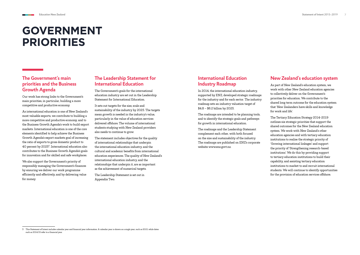# **The Government's main priorities and the Business Growth Agenda**

Our work has strong links to the Government's main priorities, in particular, building a more competitive and productive economy.

As international education is one of New Zealand's most valuable exports, we contribute to building a more competitive and productive economy, and to the Business Growth Agenda's work to build export markets. International education is one of the core elements identified to help achieve the Business Growth Agenda's export markets goal of increasing the ratio of exports to gross domestic product to 40 percent by 20253. International education also contributes to the Business Growth Agenda's goals for innovation and for skilled and safe workplaces.

We also support the Government's priority of responsibly managing the Government's finances by ensuring we deliver our work programme efficiently and effectively, and by delivering value for money.

# **The Leadership Statement for International Education**

The Government's goals for the international education industry are set out in the Leadership Statement for International Education.

It sets out targets for the size, scale and sustainability of the industry by 2025. The targets mean growth is needed in the industry's value, particularly in the value of education services delivered offshore. The volume of international students studying with New Zealand providers also needs to continue to grow.

The statement includes objectives for the quality of international relationships that underpin the international education industry, and the cultural and academic benefits from international education experiences. The quality of New Zealand's international education industry, and the relationships that underpin it, are as important as the achievement of numerical targets.

The Leadership Statement is set out in Appendix Two.

# **GOVERNMENT PRIORITIES**

## **International Education Industry Roadmap**

In 2014, the international education industry, supported by ENZ, developed strategic roadmaps for the industry and for each sector. The industry roadmap sets an industry valuation target of \$4.8 – \$6.2 billion by 2025.

The roadmaps are intended to be planning tools, and to identify the strategic goals and pathways for growth in international education.

The roadmaps and the Leadership Statement complement each other, with both focused on the size and sustainability of the industry. The roadmaps are published on ENZ's corporate website www.enz.govt.nz.

# **New Zealand's education system**

As part of New Zealand's education system, we work with other New Zealand education agencies to collectively deliver on the Government's priorities for education. We contribute to the shared long term outcome for the education system that 'New Zealanders have skills and knowledge for work and life'.

The Tertiary Education Strategy 2014-2019 outlines six strategic priorities that support the shared outcomes for the New Zealand education system. We work with New Zealand's other education agencies and with tertiary education institutions to realise the strategic priority of 'Growing international linkages' and support the priority of 'Strengthening research-based institutions'. We do this by providing support to tertiary education institutions to build their capability, and assisting tertiary education institutions to market to and recruit international students. We will continue to identify opportunities for the provision of education services offshore.

<sup>3</sup> This Statement of Intent includes calendar year and financial year information. A calendar year is shown as a single year, such as 2015, while dates such as 2014/15 refer to a financial year.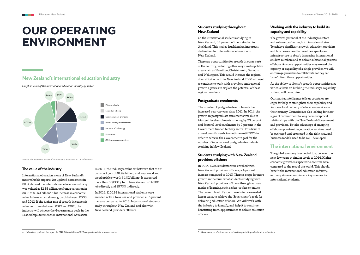### **Students studying throughout New Zealand**

Of the international students studying in New Zealand, 62 percent of them studied in Auckland. This makes Auckland an important destination for international education in New Zealand.

There are opportunities for growth in other parts of the country, including other major metropolitan areas such as Hamilton, Christchurch, Dunedin and Wellington. This would increase the regional diversification within New Zealand. ENZ will need to continue to work with providers and regional growth agencies to explore the potential of these regional markets.

### **Postgraduate enrolments**

The number of postgraduate enrolments has increased year-on-year since 2011. In 2014, the growth in postgraduate enrolments was due to Masters' level enrolments growing by 23 percent and doctoral level enrolments by 7 percent in the Government funded tertiary sector. This level of annual growth needs to continue until 2025 in order to achieve the Government's goal for the number of international postgraduate students studying in New Zealand.

### **Students studying with New Zealand providers offshore**

In 2014, 3,392 students were enrolled with New Zealand providers offshore, a 4 percent increase compared to 2013. There is scope for more growth in the number of students studying with New Zealand providers offshore through various modes of learning, such as face-to-face or online. The current level of growth needs to be exceeded longer term, to achieve the Government's goals for delivering education offshore. We will work with the industry to identify, and help it to continue benefitting from, opportunities to deliver education offshore.

### **Working with the industry to build its capacity and capability**

The growth potential of the industry's sectors and sub-sectors<sup>5</sup> varies, both in scale and size. To achieve significant growth, education providers and businesses need to have the capacity and infrastructure to absorb increasing international student numbers and to deliver substantial projects offshore. As some opportunities may exceed the capacity or capability of a single provider, we will encourage providers to collaborate so they can benefit from these opportunities.

As the ability to identify growth opportunities also varies, a focus on building the industry's capability to do so will be required.

Our market intelligence tells us countries are eager for help to strengthen their capability and for more local delivery of education services in their country. Countries are also looking for clear signs of commitment to long-term reciprocal relationships with the New Zealand Government and providers. To take advantage of emerging offshore opportunities, education services need to be packaged and promoted in the right way, and business models need to be well-developed.

## **The international environment**

The global economy is expected to grow over the next few years at similar levels to 2014. Higher economic growth is expected to occur in Asia compared to the rest of the world. This should benefit the international education industry, as many Asian countries are key sources for international students.



### **New Zealand's international education industry**

# **OUR OPERATING ENVIRONMENT**

### **The value of the industry**

International education is one of New Zealand's most valuable exports. An updated assessment in 2014 showed the international education industry was valued at \$2.85 billion, up from a valuation in 2012 of \$2.60 billion<sup>4</sup>. This increase in economic value follows much slower growth between 2008 and 2012. If the higher rate of growth in economic value continues between 2015 and 2025, the industry will achieve the Government's goals in the Leadership Statement for International Education.

*Graph 1: Value of the international education industry by sector*



In 2014, the industry's value sat between that of air transport (worth \$1.99 billion) and logs, wood and wood articles (worth \$4.02 billion). It supported more than 30,000 jobs in New Zealand – 14,500 jobs directly and 15,700 indirectly.

In 2014, 110,198 international students were enrolled with a New Zealand provider, a 13 percent increase compared to 2013. International students study throughout New Zealand and also with New Zealand providers offshore.

<sup>4</sup> Infometrics produced this report for ENZ. It is available on ENZ's corporate website www.enz.govt.nz. 5 Some examples of sub-sectors are education publishing and education technology.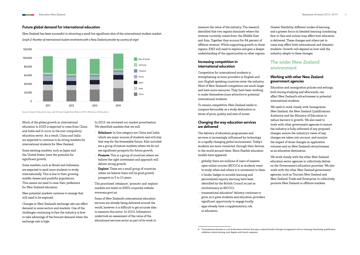measure the value of the industry. The research identified that two regions dominate where the revenue currently comes from: the Middle East and Asia. Together they account for 84 percent of offshore revenue. While supporting growth in those regions, ENZ will need to explore and gain a deeper understanding of the opportunities in other regions.

### **Increasing competition in international education**

Competition for international students is strengthening as more providers in English and non-English speaking countries enter the industry. Most of New Zealand's competitors are much larger and have more resources. They have been working to make themselves more attractive to potential international students.

To remain competitive, New Zealand needs to compare favourably as a study destination in terms of price, quality and ease of access.

### **Changing the way education services are delivered**

The delivery of education programmes and services is increasingly influenced by technology in a rapidly changing global environment. Today's students are more connected, through their devices, to the world around them. More flexible education models have appeared:

- > globally there are millions of users of massive open online courses (MOOCs) as students want to study when and where it is convenient to them
- > e-books, badges to accredit learning and personalised inquiry learning have been identified by the British Council as just as revolutionary as MOOCs
- transnational education<sup>6</sup> delivery continues to grow, as it gives students and education providers significant opportunity to engage locally
- apps already have a supplementary role in education.

Greater flexibility, different modes of learning and a greater focus on blended learning (combining face-to-face and online) may affect how education is delivered. These changes and others yet to come may affect both international and domestic students. Growth will depend on how well the industry adapts to these changes.

## **The wider New Zealand environment**

### **Working with other New Zealand government agencies**

Education and immigration policies and settings, both during studying and afterwards, can affect New Zealand's attractiveness to potential international students.

We need to work closely with Immigration New Zealand, the New Zealand Qualifications Authority and the Ministry of Education to reduce barriers to growth. We also need to work with other government agencies to ensure the industry is fully informed of any proposed changes, ensure the industry's views of any changes are taken into account, and monitor the impact of those changes on application volumes and on New Zealand's attractiveness as an education destination.

We work closely with the other New Zealand education sector agencies to collectively deliver on the Government's education priorities. We also work with the other New Zealand government agencies, such as Tourism New Zealand and New Zealand Trade and Enterprise, to collectively promote New Zealand in offshore markets.

### **Future global demand for international education**

New Zealand has been successful in attracting a small but significant slice of the international student market. *Graph 2: Number of international student enrolments with a New Zealand provider by country of origin*



Source: Export Education Levy and Tertiary Single Data Return 2014, Ministry of Education.

Much of the global growth in international education to 2025 is expected to come from China and India and to occur in the non-compulsory education sector. As a result, China and India are expected to continue to be strong markets for international students for New Zealand.

Some existing markets, such as Japan and the United States, have the potential for significant growth.

Some markets, such as Brazil and Indonesia, are expected to send more students to study internationally. This is due to their growing middle classes and youthful populations. This means we need to raise their preference for New Zealand education.

New potential markets continue to emerge that will need to be explored.

Changes in New Zealand's exchange rate can affect demand in some sectors and markets. One of the challenges continuing to face the industry is how to take advantage of the forecast demand when the exchange rate is high.

In 2015, we reviewed our market prioritisation. We identified markets that we will:

- > **Rebalance:** In this category are China and India, which are major sources of students and will stay that way for the foreseeable future. Also included are a group of mature markets where we do not see significant prospects for future growth.
- > **Promote:** This is a group of countries where we believe the right investment and approach will deliver strong growth.
- **Explore:** These are a small group of countries where we believe there will be good growth prospects in 5 to 10 years.

The prioritised 'rebalance', 'promote' and 'explore' markets are listed on ENZ's corporate website www.enz.govt.nz.

Some of New Zealand's international education services are already being delivered around the world, however it is difficult to get accurate data to measure this sector. In 2012, Infometrics undertook an assessment of the value of the educational services sector as part of its work to

<sup>6</sup> Transnational education is a set of education activities that span a national border through arrangements such as twinning, franchising, qualification validation, online learning, joint degrees and branch campuses.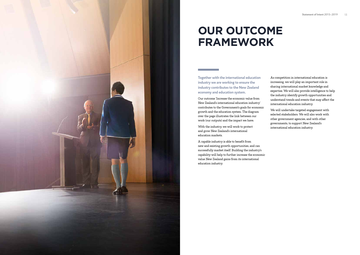

**Together with the international education industry we are working to ensure the industry contributes to the New Zealand economy and education system.** 

Our outcome 'Increase the economic value from New Zealand's international education industry' contributes to the Government's goals for economic growth and the education system. The diagram over the page illustrates the link between our work (our outputs) and the impact we have.

With the industry, we will work to protect and grow New Zealand's international education markets.

A capable industry is able to benefit from new and existing growth opportunities, and can successfully market itself. Building the industry's capability will help to further increase the economic value New Zealand gains from its international education industry.

As competition in international education is increasing, we will play an important role in sharing international market knowledge and expertise. We will also provide intelligence to help the industry identify growth opportunities and understand trends and events that may affect the international education industry.

We will undertake targeted engagement with selected stakeholders. We will also work with other government agencies, and with other governments, to support New Zealand's international education industry.

# **OUR OUTCOME FRAMEWORK**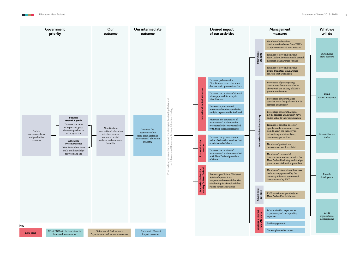and the first state

| Management<br>measures                                                                                                                                                                           |  | <b>What we</b><br>will do              |
|--------------------------------------------------------------------------------------------------------------------------------------------------------------------------------------------------|--|----------------------------------------|
| Number of referrals to<br>institutional websites from ENZ's<br>studyinnewzealand.com website<br>Number of new and existing<br>New Zealand International Doctoral<br>Research Scholarships funded |  | Sustain and<br>grow markets            |
| Number of new and existing<br>Prime Minister's Scholarships<br>for Asia that are funded                                                                                                          |  |                                        |
| Percentage of participating<br>institutions that are satisfied or<br>above with the quality of ENZ's<br>promotional events                                                                       |  | <b>Build</b>                           |
| Percentage of users that are<br>satisfied with the quality of ENZ's<br>services and support                                                                                                      |  | industry capacity                      |
| Percentage of users that agree<br>ENZ's services and support have<br>added value to their organisation                                                                                           |  |                                        |
| Number of country or sector<br>specific roadshows/conferences<br>held to assist the industry in<br>networking and identifying<br>business opportunities                                          |  | Be an influence<br>leader              |
| Number of professional<br>development seminars held<br>Number of commercial                                                                                                                      |  |                                        |
| introductions worked on with the<br>New Zealand industry and foreign<br>governments/education providers<br>Number of international business<br>leads actively pursued by the                     |  | Provide                                |
| industry following commercial<br>introductions by ENZ                                                                                                                                            |  | intelligence                           |
| ENZ contributes positively to<br><b>New Zealand Inc initiatives</b>                                                                                                                              |  |                                        |
| Administration expenses as<br>a percentage of core operating<br>expenses                                                                                                                         |  | ENZ's<br>organisational<br>development |
| Staff engagement                                                                                                                                                                                 |  |                                        |
| Core unplanned turnover                                                                                                                                                                          |  |                                        |

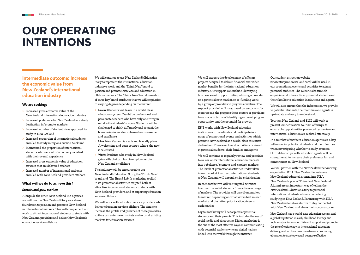## **Intermediate outcome: Increase the economic value from New Zealand's international education industry**

### **We are seeking:**

- > Increased gross economic value of the New Zealand international education industry
- > Increased preference for New Zealand as a study destination in 'promote' markets
- > Increased number of student visas approved for study in New Zealand
- > Increased proportion of international students enrolled to study in regions outside Auckland
- > Maintained the proportion of international students who were satisfied or very satisfied with their overall experience
- > Increased gross economic value of education services that are delivered offshore
- > Increased number of international students enrolled with New Zealand providers offshore.

### **What will we do to achieve this?**

#### *Sustain and grow markets*

Alongside the other New Zealand Inc. agencies, we will use the New Zealand Story as a shared foundation to position and promote New Zealand in international markets. This will complement our work to attract international students to study with New Zealand providers and deliver New Zealand's education services offshore.

We will continue to use New Zealand's Education Story to represent the international education industry's work, and the 'Think New' brand to position and promote New Zealand education in offshore markets. The 'Think New' brand is made up of three key brand attributes that we will emphasise to varying degrees depending on the market:

- > **Learn:** Students will learn in a world-class education system. Taught by professional and passionate teachers who have only one thing in mind – the students' success. Students will be challenged to think differently and to push the boundaries in an atmosphere of encouragement and excellence.
- Live: New Zealand is a safe and friendly place. A welcoming and open country where 'the new' is celebrated.
- > **Work:** Students who study in New Zealand gain skills that can lead to employment in New Zealand or offshore.

The industry will be encouraged to use New Zealand's Education Story, the 'Think New' brand and 'The Brand Lab' (a marketing toolkit) in its promotional activities targeted both at attracting international students to study with New Zealand providers, and at exporting education services offshore.

We will work with education service providers who deliver education services offshore. The aim is to increase the profile and presence of those providers, so they can enter new markets and expand existing markets for education services.

# **OUR OPERATING INTENTIONS**

We will support the development of offshore projects designed to deliver financial and wider market benefits for the international education industry. Our support can include identifying business growth opportunities, advising a provider on a potential new market, or co-funding work by a group of providers to progress a venture. The support provided will vary, based on sector or subsector needs, the progress those sectors or providers have made in terms of identifying or developing an opportunity, and the potential for growth.

ENZ works with New Zealand education institutions to coordinate and participate in a range of promotional events and activities which promote New Zealand as a world-class education destination. These events and activities are aimed at potential students, their families and agents.

We will continue to regularly review and prioritise New Zealand's international education markets into 'rebalance', 'promote' and 'explore' markets. The levels of promotional activities undertaken in each market to attract international students to New Zealand will depend on its prioritisation.

In each market we will use targeted activities to attract potential students from a diverse range of markets. The activities will vary from market to market, depending on what works best in each market and the rating prioritisation given to each market.

Digital marketing will be targeted at potential students and their parents. This includes the use of social media and advertising. Digital marketing is the one of the most effective ways of communicating with potential students who are digital natives, linked into the world through the internet.

Our student attraction website (www.studyinnewzealand.com) will be used in our promotional events and activities to attract potential students. The website also funnels enquiries and interest from potential students and their families to education institutions and agents.

We will also ensure that the information we provide to potential students, their families and agents is up-to-date and easy to understand.

Tourism New Zealand and ENZ will work to present joint education-tourism offerings, to ensure the opportunities presented by tourism and international education are realised effectively.

In a number of markets, education agents are a key influence for potential students and their families when investigating whether to study overseas. Our relationships with education agents will be strengthened to increase their preference for, and commitment to, New Zealand.

We will partner with the New Zealand networking organisation KEA New Zealand to welcome New Zealand-educated alumni into KEA New Zealand's pool of 'Friends of New Zealand'. Alumni are an important way of telling the New Zealand Education Story to potential international students who are considering studying in New Zealand. Partnering with KEA New Zealand enables alumni to stay connected with New Zealand and share their success stories.

New Zealand has a world class education system and a global reputation in early childhood literacy and technological innovation. We will support and promote the role of technology in international education delivery, and explore how investments promoting education technology could be more effective.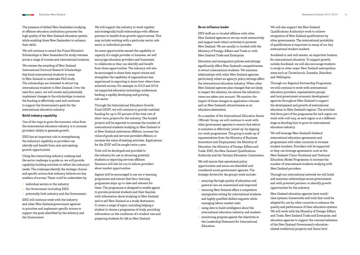#### *Be an influence leader*

ENZ staff are co-located offshore with other New Zealand agencies so we can work interactively and support each other's activities to promote New Zealand. We are usually co-located with the Ministry of Foreign Affairs and Trade or with New Zealand Trade and Enterprise.

Education and immigration policies and settings significantly affect New Zealand's competitiveness to attract international students. We maintain relationships with other New Zealand agencies, particularly where an agency's policy settings affect the international education industry. When other New Zealand agencies plan changes that are likely to impact the industry, we ensure the industry's views are taken into account. We monitor the impact of those changes on application volumes and on New Zealand's attractiveness as an education destination.

As a member of the International Education Senior Officials' Group, we will continue to work with other government agencies to ensure that advice to ministers is effectively 'joined up' by aligning our work programmes. The group is made up of representatives from the Ministry of Business, Innovation and Employment, the Ministry of Education, the Ministry of Foreign Affairs and Trade, ENZ, the New Zealand Qualifications Authority and the Tertiary Education Commission.

We will ensure that operational policy opportunities and issues are identified and considered across government agencies. The strategic drivers for the group's work include:

- > ensuring the high quality of education and pastoral care are maintained and improved
- > ensuring New Zealand offers a competitive immigration setting for international students and highly qualified skilled migrants while managing labour market risks
- using data to build intelligence about the international education industry and markets
- > monitoring progress against the objectives in the Leadership Statement for International Education.

We will also support the New Zealand Qualifications Authority's work to achieve recognition of New Zealand qualifications by other governments. The international portability of qualifications is important in many of our key international student markets.

Auckland is, and will remain, an important location for international education. To support growth outside Auckland, we will also encourage students to study in other major New Zealand metropolitan areas such as Christchurch, Dunedin, Hamilton and Wellington.

Through our Regional Partnership Programme, we will continue to work with international education providers, representative groups and local government economic development agencies throughout New Zealand to support the development and growth of international education in New Zealand's regions. The activities that form part of the programme for each region we work with will vary, as each region is at a different stage in deciding how to grow its international education industry.

- $>$  individual sectors or the industry
- > the Government (including ENZ)
- > potentially both industry and the Government.

We will leverage New Zealand's bilateral international education agreements and programmes with other countries to increase student numbers. Providers will be supported so they can leverage agreements, such as the New Zealand-China Vocational and Technical Education Model Programme, to increase the number of international students studying with New Zealand providers.

Through our international network we will build and maintain relationships across governments and with potential partners, to identify growth opportunities for the industry.

New Zealand education agencies have worldclass systems, frameworks and tools that could be adapted for use by other countries to enhance the quality and performance of their education systems. We will work with the Ministry of Foreign Affairs and Trade, New Zealand Trade and Enterprise, and education agencies to support the commercialisation of the New Zealand Government's educationrelated intellectual property and 'know how'.

The presence of skilled New Zealanders studying at offshore education institutions promotes the high quality of the New Zealand education system, while enabling those New Zealanders to enhance their skills.

We will continue to award the Prime Minister's Scholarships to New Zealanders for study overseas across a range of courses and international locations.

We oversee the awarding of New Zealand International Doctoral Research Scholarships that fund international students to come to New Zealand to undertake PhD study. The scholarships are intended to attract top international students to New Zealand. Over the next four years, we will review and potentially implement changes to the scholarships to ensure the funding is effectively used and continues to support the Government's goals for the international education industry.

#### *Build industry capability*

One of the ways to grow the economic value from the international education industry is to increase providers' ability to generate growth.

ENZ has an important role in strengthening the industry's capability so providers can identify and benefit from new and existing growth opportunities.

Using the overarching industry roadmap and the sector roadmaps to guide us, we will provide capability building activities to reflect the industry's needs. The roadmaps identify the strategic choices and specific actions that industry believes are key enablers of success. These could be undertaken by:

ENZ will continue work with the industry and other New Zealand government agencies to prioritise and implement specific actions to support the goals identified by the industry and the Government.

We will support the industry to work together and strategically build relationships with offshore partners to benefit from growth opportunities. This may include working with a particular sector, subsector or individual provider.

As some opportunities exceed the capability or capacity of a single provider or business, we will encourage education providers and businesses to collaborate so they can identify and benefit from those opportunities. The industry will also be encouraged to share their export stories and strengthen the capability of organisations less experienced in exporting to learn how others have achieved success. For example, in 2013 and 2014 we supported education technology conferences; backing a rapidly developing and growing sub-sector.

Through the International Education Growth Fund (IEGF), we will continue to provide matched funding for up to 50 percent of the total cost of short-term projects for the industry. The funded projects will be expected to increase the number of international students studying in New Zealand or at New Zealand institutions offshore, increase the value of goods and services provided offshore, or increase the value of existing activities. Applications for the IEGF will be sought twice a year.

Tools will be developed and provided to the industry for use in attracting potential students or exporting services offshore. Seminars will also be run to inform providers about market opportunities.

Agents will be encouraged to use our e-learning programme and ensure that the e-learning programme stays up-to-date and relevant for them. The programme is designed to enable agents to provide potential students and their families with information about studying in New Zealand, and to sell New Zealand as a study destination. It covers a range of topics, including helping a student to choose a programme of study, providing information on the conditions of a student visa and preparing students for life in New Zealand.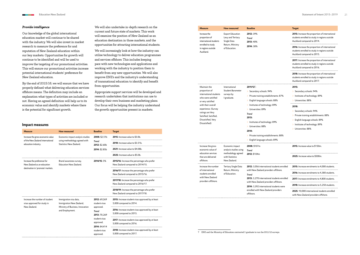#### *Provide intelligence*

Our knowledge of the global international education market will continue to be shared with the industry. We will also invest in market research to measure the preference for and reputation of New Zealand education within our key markets. Opportunities for growth will continue to be identified and will be used to improve the targeting of our promotional activities. This will ensure our promotional activities increase potential international students' preference for New Zealand education.

By the end of 2015/16, we will ensure that we have properly defined what delivering education services offshore means. The definition may include an explanation what types of activities are included or not. Having an agreed definition will help us to its economic value and identify markets where there is the potential for significant growth.

We will also undertake in-depth research on the current and future state of markets. This work will examine the position of New Zealand as an education destination in those markets, and the opportunities for attracting international students.

We will increasingly look at how the industry can utilise technology to deliver education programmes and services offshore. This includes keeping pace with new technologies and applications and working with the industry to position them to benefit from any new opportunities. We will also improve ENZ's and the industry's understanding of transnational education to identify and benefit from opportunities.

Appropriate support services will be developed and research undertaken that institutions can use to develop their own business and marketing plans. Our focus will be helping the industry understand the growth opportunities present in markets.

#### **Impact measures**

| <b>Measure</b>                                                | <b>How measured</b>                                                             | <b>Baseline</b>                                                                 | <b>Target</b>                                                                   |
|---------------------------------------------------------------|---------------------------------------------------------------------------------|---------------------------------------------------------------------------------|---------------------------------------------------------------------------------|
| Increase the gross economic value                             | 2008: \$2.51b<br>Economic impact analysis studies                               |                                                                                 | 2015: Increase value to \$3.0b.                                                 |
| of the New Zealand international<br>education industry.       | using methodology agreed with<br>Statistics New Zealand.                        | <b>Trend</b><br>2012: \$2.60b                                                   | 2018: Increase value to \$3.51b.                                                |
|                                                               |                                                                                 | 2014: \$2.85b                                                                   | 2021: Increase value to \$4.08b.                                                |
|                                                               |                                                                                 |                                                                                 | 2025: Increase value to \$5.0b.                                                 |
| Increase the preference for<br>New Zealand as an education    | Brand awareness survey,<br><b>Education New Zealand.</b>                        | 2014/15: 5%                                                                     | 2015/16: Increase the percentage who prefer<br>New Zealand compared to 2014/15. |
| destination in 'promote' markets.                             | 2016/17: Increase the percentage who prefer<br>New Zealand compared to 2015/16. |                                                                                 |                                                                                 |
|                                                               |                                                                                 | 2017/18: Increase the percentage who prefer<br>New Zealand compared to 2016/17. |                                                                                 |
|                                                               |                                                                                 |                                                                                 | 2018/19: Increase the percentage who prefer<br>New Zealand compared to 2017/18. |
| Increase the number of student<br>visas approved for study in | Immigration visa data,<br>Immigration New Zealand,                              | 2012: 69,269<br>student visas                                                   | 2015: Increase student visas approved by at least<br>5,000 compared to 2014.    |
| New Zealand.                                                  | Ministry of Business, Innovation<br>and Employment.                             | approved.<br><b>Trend</b><br>2013: 70.269<br>student visas<br>approved.         | 2016: Increase student visas approved by at least<br>5,000 compared to 2015.    |
|                                                               |                                                                                 |                                                                                 | 2017: Increase student visas approved by at least<br>5,000 compared to 2016.    |
|                                                               |                                                                                 | 2014: 84,414<br>student visas<br>approved.                                      | 2018: Increase student visas approved by at least<br>5,000 compared to 2017.    |

| <b>Measure</b>         | How measured            | <b>Baseline</b> | <b>Target</b> |
|------------------------|-------------------------|-----------------|---------------|
| Increase the           | <b>Export Education</b> | 2012: 39%       | 2015:         |
| proportion of          | Levy and Tertiary       | Trend           | studen        |
| international students | Single Data             | 2013: 40%       | Auckla        |
| enrolled to study      | Return, Ministry        | 2014: 38%       |               |
| in regions outside     | of Education.           |                 | 2016:         |
| Auckland.              |                         |                 | studen        |

|                              | <b>Target</b>                                                                                                                        |
|------------------------------|--------------------------------------------------------------------------------------------------------------------------------------|
|                              | <b>2015:</b> Increase the proportion of international<br>students enrolled to study in regions outside<br>Auckland compared to 2014. |
|                              | 2016: Increase the proportion of international<br>students enrolled to study in regions outside<br>Auckland compared to 2015.        |
|                              | 2017: Increase the proportion of international<br>students enrolled to study in regions outside<br>Auckland compared to 2016.        |
|                              | 2018: Increase the proportion of international<br>students enrolled to study in regions outside<br>Auckland compared to 2017.        |
|                              | 2015:                                                                                                                                |
|                              | > Secondary schools: 94%                                                                                                             |
| ments: 87%                   | $>$ Institutes of technology: 89%                                                                                                    |
| : 88%                        | > Universities: 88%                                                                                                                  |
| 89%                          | 2018:                                                                                                                                |
|                              | > Secondary schools: 94%                                                                                                             |
|                              | Private training establishments: 88%<br>>                                                                                            |
|                              | > English language schools: 89%                                                                                                      |
| 89%                          | > Institutes of technology: 89%                                                                                                      |
|                              | > Universities: 88%                                                                                                                  |
| ments: 88%                   |                                                                                                                                      |
| : 89%                        |                                                                                                                                      |
|                              | 2015: Increase value to \$150m.                                                                                                      |
|                              | 2025: Increase value to \$500m.                                                                                                      |
| students enrolled            | 2015: Increase enrolments to 4,000 students.                                                                                         |
| s offshore.                  | 2016: Increase enrolments to 4.380 students.                                                                                         |
| students enrolled            | <b>2017:</b> Increase enrolments to 4.800 students.                                                                                  |
| s offshore.<br>students were | 2018: Increase enrolments to 5.250 students.                                                                                         |
| providers                    | 2025: 10,000 international students enrolled                                                                                         |
|                              | with New Zealand providers offshore.                                                                                                 |

| Maintain the<br>proportion of<br>international students<br>who were satisfied<br>or very satisfied<br>with their overall<br>experience. (Survey<br>ratings are Very<br>Satisfied, Satisfied,<br>Dissatisfied, Very<br>Dissatisfied) | International<br><b>Student Barometer</b><br>surveys by<br>l-graduate.                             | 2011/12 <sup>7</sup> :<br>> Secondary schools: 94%<br>> Private training establishments: 87%<br>$>$ English language schools: 88%<br>$>$ Institutes of technology: 89%<br>> Universities: 89%<br>Trend<br>2013:<br>> Institutes of technology: 89%<br>> Universities: 88%<br>2014:<br>> Private training establishments: 88%<br>> English language schools: 89% |
|-------------------------------------------------------------------------------------------------------------------------------------------------------------------------------------------------------------------------------------|----------------------------------------------------------------------------------------------------|-----------------------------------------------------------------------------------------------------------------------------------------------------------------------------------------------------------------------------------------------------------------------------------------------------------------------------------------------------------------|
| Increase the gross<br>economic value of<br>education services<br>that are delivered<br>offshore.                                                                                                                                    | Economic impact<br>analysis studies using<br>methodology agreed<br>with Statistics<br>New Zealand. | 2008: \$107m<br>Trend<br>2012: \$104m                                                                                                                                                                                                                                                                                                                           |
| Increase the number<br>of international<br>students enrolled<br>with New Zealand<br>providers offshore.                                                                                                                             | <b>Tertiary Single Data</b><br>Return, Ministry<br>of Education.                                   | 2012: 3,056 international students enrolled<br>with New Zealand providers offshore.<br><b>Trend</b><br>2013: 3.270 international students enrolled<br>with New Zealand providers offshore.<br>2014: 3.392 international students were<br>enrolled with New Zealand providers<br>offshore.                                                                       |

7 ENZ and the Ministry of Education contracted I-graduate to run the 2011/12 surveys.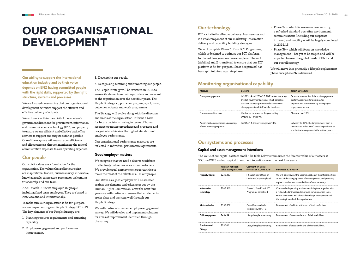**Our ability to support the international education industry and be their voice depends on ENZ having committed people with the right skills, supported by the right structure, systems and processes.**

We are focused on ensuring that our organisational development activities support the efficient and effective delivery of outputs.

We will work within the spirit of the whole-ofgovernment directions for procurement, information and communications technology (ICT), and property to ensure we use efficient and effective back office services to support our outputs as far as possible. One of the ways we will measure our efficiency and effectiveness is through monitoring the ratio of administration expenses to core operating expenses.

# **Our people**

Our spirit values are a foundation for the organisation. The values that reflect our spirit are inspirational leaders, business savvy, innovative, knowledgeable, connectors, passionate, welcoming, trustworthy, and one team.

At 31 March 2015 we employed 87 people, including fixed term employees. They are based in New Zealand and internationally.

To make sure our organisation is fit-for-purpose, we are implementing our People Strategy 2012-15. The key elements of our People Strategy are:

- 1. Planning resource requirements and attracting capability.
- 2. Employee engagement and performance improvement.

3. Developing our people.

4. Recognising, retaining and rewarding our people.

The People Strategy will be reviewed in 2015 to ensure its elements remain up-to-date and relevant to the organisation over the next four years. The People Strategy supports our purpose, spirit, focus, outcomes, outputs and work programme.

The Strategy will evolve along with the direction and needs of the organisation. It forms a basis for future decision-making in terms of human resource operating procedures and processes, and is a guide to achieving the highest standards of employee performance.

Our organisational performance measures are reflected in individual performance agreements.

#### **Good employer matters**

We recognise that we need a diverse workforce to effectively deliver services to our customers. We provide equal employment opportunities to make the most of the talents of all of our people.

Our status as a good employer will be assessed against the elements and criteria set out by the Human Rights Commission. Over the next four years we will continue to ensure that all elements are in place and working well through our People Strategy.

We will continue to run an employee engagement survey. We will develop and implement solutions for areas of improvement identified through the survey.

# **OUR ORGANISATIONAL DEVELOPMENT**

# **Our technology**

ICT is vital to the effective delivery of our services and is a vital component of our marketing, information delivery and capability building strategies.

We will complete Phase 3 of our ICT Programme, which is designed to optimise our ICT platform. In the last two years we have completed Phases 1 (stabilise) and 2 (transform) to ensure that our ICT platform is fit-for-purpose. Phase 3 (optimise) has been split into two separate phases:

- > Phase 3a which focuses on access security, a refreshed standard operating environment, communications (including our corporate intranet) and mobility – will be largely completed in 2014/15
- > Phase  $3b$  which will focus on knowledge management – has yet to be scoped and will be expected to meet the global needs of ENZ and our overall strategy.

We will move into primarily a lifecycle replacement phase once phase 3b is delivered.

## **Monitoring organisational capability**

| Measure                                                                | <b>Baseline</b>                                                                                                                                                                             | <b>Target 2015-2019</b>                                                                                                                                 |
|------------------------------------------------------------------------|---------------------------------------------------------------------------------------------------------------------------------------------------------------------------------------------|---------------------------------------------------------------------------------------------------------------------------------------------------------|
| Employee engagement.                                                   | In 2013/14 and 2014/15, ENZ ranked in the top<br>third of government agencies which complete<br>the same survey (approximately 30) in terms<br>of engagement and staff satisfaction levels. | Be in the top quartile of the staff engagement<br>performance index for public sector<br>organisations as measured by an employee<br>engagement survey. |
| Core unplanned turnover.                                               | Unplanned turnover for the year ending<br>30 June 2014 was 9%.                                                                                                                              | No more than 12%.                                                                                                                                       |
| Administration expenses as a percentage<br>of core operating expenses. | In 2013/14, the percentage was 11%.                                                                                                                                                         | Between 13-18%. The target is lower than in<br>2014/15 to reflect ENZ's actual expenditure on<br>administration expenses in the last two vears.         |

### **Our systems and processes**

### **Capital and asset management intentions**

The value of our capital assets is small. The table below summarises the forecast value of our assets at 30 June 2015 and our capital investment intentions over the next four years.

|                                  | <b>Forecast net book</b><br>value at 30 June 2015 | <b>Comment on assets</b><br>forecast at 30 June 2015 | Purchases 2015-2019                                                                                                                                                                                       |
|----------------------------------|---------------------------------------------------|------------------------------------------------------|-----------------------------------------------------------------------------------------------------------------------------------------------------------------------------------------------------------|
| Property fit out                 | \$236,363                                         | Fit out of new offices on<br>Lambton Quay completed. | We will be reviewing the accommodation of the offs<br>as part of the changing needs of market growth, and<br>capital contributions toward office refits as necessar                                       |
| <b>Information</b><br>technology | \$985,969                                         | Phases 1, 2 and 3a of ICT<br>Programme completed.    | Our standard operating environment is in place, toge<br>a re-launched intranet and improved communicatior<br>Future investment will address knowledge managem<br>the strategic needs of the organisation. |
| <b>Motor vehicles</b>            | \$158,802                                         | One offshore vehicle<br>replaced in 2014/15.         | Replacement of vehicles at the end of their useful live                                                                                                                                                   |
| Office equipment                 | \$45,454                                          | Lifecycle replacement only.                          | Replacement of assets at the end of their useful lives.                                                                                                                                                   |
| <b>Furniture and</b><br>fittings | \$29,206                                          | Lifecycle replacement only.                          | Replacement of assets at the end of their useful lives.                                                                                                                                                   |

| Value at JU Julie 2015 | TOTECAST AT JUINE ZUIJ                               | PUI CHASES ZU 13-ZU 17                                                                                                                                                                                                           |
|------------------------|------------------------------------------------------|----------------------------------------------------------------------------------------------------------------------------------------------------------------------------------------------------------------------------------|
| \$236.363              | Fit out of new offices on<br>Lambton Quay completed. | We will be reviewing the accommodation of the offshore offices<br>as part of the changing needs of market growth, and providing<br>capital contributions toward office refits as necessary.                                      |
| \$985.969              | Phases 1, 2 and 3a of ICT<br>Programme completed.    | Our standard operating environment is in place, together with<br>a re-launched intranet and improved communication tools.<br>Future investment will address knowledge management and<br>the strategic needs of the organisation. |
| \$158,802              | One offshore vehicle<br>replaced in 2014/15.         | Replacement of vehicles at the end of their useful lives.                                                                                                                                                                        |
| \$45.454               | Lifecycle replacement only.                          | Replacement of assets at the end of their useful lives.                                                                                                                                                                          |
| \$29.206               | Lifecycle replacement only.                          | Replacement of assets at the end of their useful lives.                                                                                                                                                                          |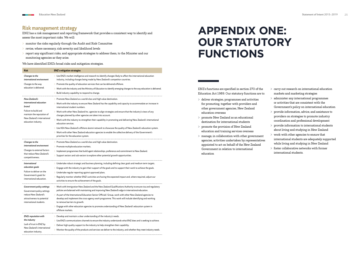### **Risk management strategy**

ENZ has a risk management and reporting framework that provides a consistent way to identify and assess the most important risks. We will:

- > monitor the risks regularly through the Audit and Risk Committee
- > revise, where necessary, risk severity and likelihood levels
- $>$  report any significant risks, and appropriate strategies to address them, to the Minister and our monitoring agencies as they arise.

We have identified ENZ's broad risks and mitigation strategies.

| <b>Risk</b>                                                                                                                                                   | <b>ENZ's mitigation strategies</b>                                                                                                                                                                                                                                                                                                                                                                                                                                                                                                                                                   |
|---------------------------------------------------------------------------------------------------------------------------------------------------------------|--------------------------------------------------------------------------------------------------------------------------------------------------------------------------------------------------------------------------------------------------------------------------------------------------------------------------------------------------------------------------------------------------------------------------------------------------------------------------------------------------------------------------------------------------------------------------------------|
| Changes to the<br>international environment                                                                                                                   | > Use ENZ's market intelligence and research to identify changes likely to affect the international education<br>industry, including changes being made by New Zealand's competitor countries.                                                                                                                                                                                                                                                                                                                                                                                       |
| Changes to the way                                                                                                                                            | $>$ Promote the quality of education services that can be delivered offshore.                                                                                                                                                                                                                                                                                                                                                                                                                                                                                                        |
| education is delivered.                                                                                                                                       | $>$ Work with the industry and the Ministry of Education to identify emerging changes to the way education is delivered.                                                                                                                                                                                                                                                                                                                                                                                                                                                             |
|                                                                                                                                                               | > Build industry capability to respond to change.                                                                                                                                                                                                                                                                                                                                                                                                                                                                                                                                    |
| New Zealand's<br>international education<br>brand<br>Failure to build and<br>maintain the reputation of<br>New Zealand's international<br>education industry. | $>$ Promote New Zealand as a world-class and high value destination.<br>$>$ Work with the industry to ensure New Zealand has the capability and capacity to accommodate an increase in<br>international student numbers.<br>$>$ Work with other New Zealand Inc. agencies to align strategies and ensure that the industry's views of any<br>changes planned by other agencies are taken into account.<br>> Work with the industry to strengthen their capability in promoting and delivering New Zealand's international<br>education services.                                     |
|                                                                                                                                                               | > Use KEA New Zealand's offshore alumni network to showcase the quality of New Zealand's education system.                                                                                                                                                                                                                                                                                                                                                                                                                                                                           |
|                                                                                                                                                               | > Work with other New Zealand education agencies to enable the collective delivery of the Government's<br>priorities for the education system.                                                                                                                                                                                                                                                                                                                                                                                                                                       |
| Changes to the<br>international environment<br>Changes to external factors<br>that reduce New Zealand's<br>competitiveness.                                   | $>$ Promote New Zealand as a world-class and high value destination.<br>> Promote multiple education markets.<br>$>$ Implement programmes that build agent relationships, preference and commitment to New Zealand.<br>$>$ Support sectors and sub-sectors to explore other potential growth opportunities.                                                                                                                                                                                                                                                                          |
| <b>International</b><br>education goals<br>Failure to deliver on the<br>Government's goals for<br>international education.<br>Government policy settings      | $>$ Undertake robust strategic and business planning, including defining clear goals and medium term targets.<br>$>$ Engage with the industry to gain their support of the goals and to support their work to achieve the goals.<br>$>$ Undertake regular reporting against approved plans.<br>$>$ Regularly monitor whether ENZ's activities are having the expected impact and, where required, adjust our<br>activities to ensure the achievement of the goals.<br>> Work with Immigration New Zealand and the New Zealand Qualifications Authority to ensure visa and regulatory |
| Government policy settings<br>reduce New Zealand's<br>attractiveness to potential<br>international students.                                                  | policies are balanced with maintaining and improving New Zealand's edge in international education.<br>> As part of the International Education Senior Officials' Group, work with other New Zealand agencies to<br>develop and implement the cross-agency work programme. This work will include identifying and working<br>to remove barriers to growth.<br>$>$ Engage with other education agencies to promote understanding of New Zealand's education system in<br>offshore markets.                                                                                            |
| <b>ENZs reputation with</b><br>the industry<br>Lack of trust in ENZ by<br>New Zealand's international<br>education industry.                                  | $>$ Develop and maintain a clear understanding of the industry's needs.<br>> Use ENZ's communications channels to ensure the industry understands what ENZ does and is seeking to achieve.<br>$>$ Deliver high quality support to the industry to help strengthen their capability.<br>> Monitor the quality of the products and services we deliver to the industry, and whether they meet industry needs.                                                                                                                                                                          |

ENZ's functions are specified in section 270 of the Education Act 1989. Our statutory functions are to:

- > deliver strategies, programmes and activities for promoting, together with providers and other government agencies, New Zealand education overseas
- > promote New Zealand as an educational destination for international students
- > promote the provision of New Zealand education and training services overseas
- > manage, in collaboration with other government agencies, activities undertaken by representatives appointed to act on behalf of the New Zealand Government in relation to international education

> carry out research on international education markets and marketing strategies > administer any international programmes or activities that are consistent with the Government's policy on international education > provide information, advice, and assistance to providers on strategies to promote industry coordination and professional development > provide information to international students about living and studying in New Zealand > work with other agencies to ensure that international students are adequately supported while living and studying in New Zealand > foster collaborative networks with former international students.

# **APPENDIX ONE: OUR STATUTORY FUNCTIONS**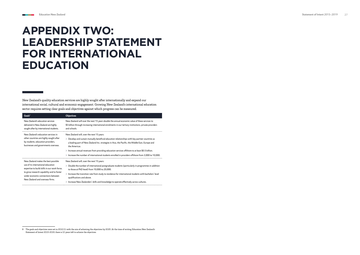New Zealand's quality education services are highly sought after internationally and expand our international social, cultural and economic engagement. Growing New Zealand's international education sector requires setting clear goals and objectives against which progress can be measured.

| Goals <sup>8</sup>                                                                                                                                          | <b>Objectives</b>                                                                                                                                                                                                                                                                                                                                                                                                                                                                        |
|-------------------------------------------------------------------------------------------------------------------------------------------------------------|------------------------------------------------------------------------------------------------------------------------------------------------------------------------------------------------------------------------------------------------------------------------------------------------------------------------------------------------------------------------------------------------------------------------------------------------------------------------------------------|
| New Zealand's education services                                                                                                                            | New Zealand will over the next 15 years double the annual economic value of these services to                                                                                                                                                                                                                                                                                                                                                                                            |
| delivered in New Zealand are highly                                                                                                                         | \$5 billion through increasing international enrolments in our tertiary institutions, private providers                                                                                                                                                                                                                                                                                                                                                                                  |
| sought after by international students.                                                                                                                     | and schools.                                                                                                                                                                                                                                                                                                                                                                                                                                                                             |
| New Zealand's education services in<br>other countries are highly sought after<br>by students, education providers,<br>businesses and governments overseas. | New Zealand will, over the next 15 years:<br>Develop and sustain mutually beneficial education relationships with key partner countries as<br>$\geq$<br>a leading part of New Zealand Inc. strategies in Asia, the Pacific, the Middle East, Europe and<br>the Americas.<br>$>$ Increase annual revenues from providing education services offshore to at least \$0.5 billion.<br>$>$ Increase the number of international students enrolled in providers offshore from 3,000 to 10,000. |
| New Zealand makes the best possible                                                                                                                         | New Zealand will, over the next 15 years:                                                                                                                                                                                                                                                                                                                                                                                                                                                |
| use of its international education                                                                                                                          | $>$ Double the number of international postgraduate students (particularly in programmes in addition                                                                                                                                                                                                                                                                                                                                                                                     |
| expertise to build skills in our work force,                                                                                                                | to those at PhD level) from 10,000 to 20,000.                                                                                                                                                                                                                                                                                                                                                                                                                                            |
| to grow research capability and to foster                                                                                                                   | $>$ Increase the transition rate from study to residence for international students with bachelors' level                                                                                                                                                                                                                                                                                                                                                                                |
| wider economic connections between                                                                                                                          | qualifications and above.                                                                                                                                                                                                                                                                                                                                                                                                                                                                |
| New Zealand and overseas firms.                                                                                                                             | $>$ Increase New Zealanders' skills and knowledge to operate effectively across cultures.                                                                                                                                                                                                                                                                                                                                                                                                |

# **APPENDIX TWO: LEADERSHIP STATEMENT FOR INTERNATIONAL EDUCATION**

<sup>8</sup> The goals and objectives were set in 2010/11 with the aim of achieving the objectives by 2025. At the time of writing Education New Zealand's Statement of Intent 2015-2019, there is 10 years left to achieve the objectives.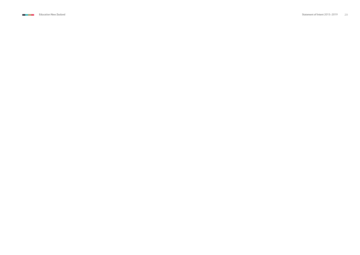